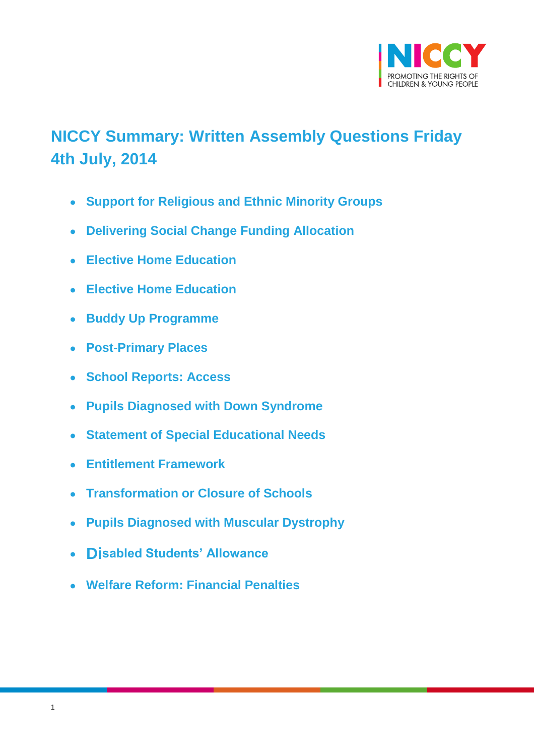<span id="page-0-2"></span><span id="page-0-1"></span>

# <span id="page-0-14"></span>**NICCY Summary: Written Assembly Questions Friday 4th July, 2014**

- <span id="page-0-0"></span>**[Support for Religious and Ethnic Minority Groups](#page-0-0)**
- **[Delivering Social Change Funding Allocation](#page-0-1)**
- <span id="page-0-3"></span>**[Elective Home Education](#page-0-2)**
- <span id="page-0-4"></span>**[Elective Home Education](#page-0-3)**
- <span id="page-0-5"></span>**[Buddy Up Programme](#page-0-4)**
- <span id="page-0-6"></span>**[Post-Primary Places](#page-0-5)**
- <span id="page-0-7"></span>**[School Reports: Access](#page-0-6)**
- <span id="page-0-8"></span>**[Pupils Diagnosed with Down Syndrome](#page-0-7)**
- <span id="page-0-9"></span>**[Statement of Special Educational Needs](#page-0-8)**
- <span id="page-0-10"></span>**[Entitlement Framework](#page-0-9)**
- <span id="page-0-11"></span>**[Transformation or Closure of Schools](#page-0-10)**
- <span id="page-0-12"></span>**[Pupils Diagnosed with Muscular Dystrophy](#page-0-11)**
- <span id="page-0-13"></span>**Di[sabled Students' Allowance](#page-0-12)**
- **[Welfare Reform: Financial Penalties](#page-0-13)**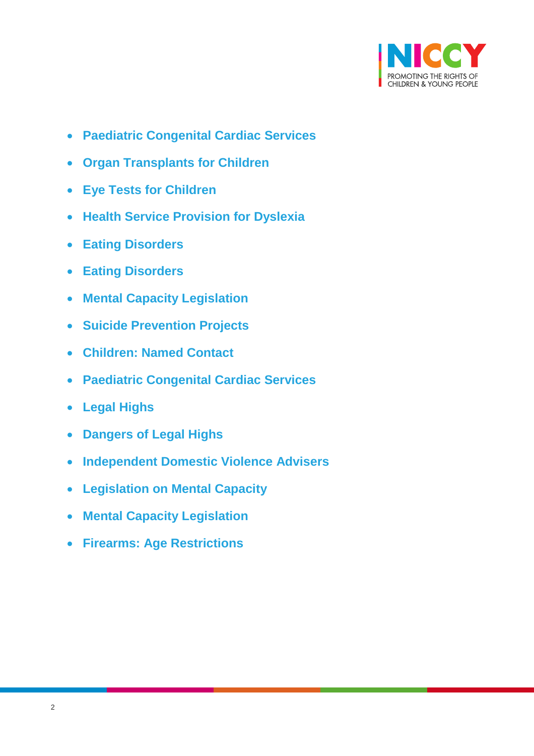<span id="page-1-4"></span><span id="page-1-2"></span>

- <span id="page-1-0"></span>**[Paediatric Congenital Cardiac Services](#page-1-0)**
- <span id="page-1-3"></span><span id="page-1-1"></span>**[Organ Transplants for Children](#page-1-1)**
- **[Eye Tests for Children](#page-1-2)**
- **[Health Service Provision for Dyslexia](#page-1-3)**
- <span id="page-1-6"></span><span id="page-1-5"></span>**[Eating Disorders](#page-1-4)**
- **[Eating Disorders](#page-1-5)**
- <span id="page-1-8"></span><span id="page-1-7"></span>**[Mental Capacity Legislation](#page-1-6)**
- **[Suicide Prevention Projects](#page-1-7)**
- <span id="page-1-10"></span><span id="page-1-9"></span>**[Children: Named Contact](#page-1-8)**
- **[Paediatric Congenital Cardiac Services](#page-1-9)**
- <span id="page-1-11"></span>**[Legal Highs](#page-1-10)**
- <span id="page-1-13"></span><span id="page-1-12"></span>**[Dangers of Legal Highs](#page-1-11)**
- **[Independent Domestic Violence Advisers](#page-1-12)**
- <span id="page-1-14"></span>**[Legislation on Mental Capacity](#page-1-13)**
- **[Mental Capacity Legislation](#page-1-14)**
- **[Firearms: Age Restrictions](#page-23-0)**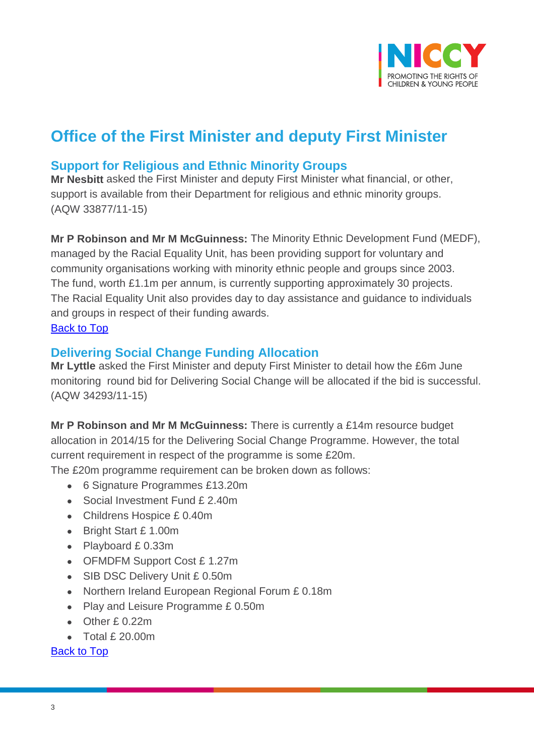

# **Office of the First Minister and deputy First Minister**

# **Support for Religious and Ethnic Minority Groups**

**Mr Nesbitt** asked the First Minister and deputy First Minister what financial, or other, support is available from their Department for religious and ethnic minority groups. (AQW 33877/11-15)

**Mr P Robinson and Mr M McGuinness:** The Minority Ethnic Development Fund (MEDF), managed by the Racial Equality Unit, has been providing support for voluntary and community organisations working with minority ethnic people and groups since 2003. The fund, worth £1.1m per annum, is currently supporting approximately 30 projects. The Racial Equality Unit also provides day to day assistance and guidance to individuals and groups in respect of their funding awards. [Back to Top](#page-0-14)

## **Delivering Social Change Funding Allocation**

**Mr Lyttle** asked the First Minister and deputy First Minister to detail how the £6m June monitoring round bid for Delivering Social Change will be allocated if the bid is successful. (AQW 34293/11-15)

**Mr P Robinson and Mr M McGuinness:** There is currently a £14m resource budget allocation in 2014/15 for the Delivering Social Change Programme. However, the total current requirement in respect of the programme is some £20m.

The £20m programme requirement can be broken down as follows:

- 6 Signature Programmes £13.20m
- Social Investment Fund £ 2.40m
- Childrens Hospice £ 0.40m
- Bright Start £ 1.00m
- Playboard £ 0.33m
- OFMDFM Support Cost £ 1.27m
- SIB DSC Delivery Unit £ 0.50m
- Northern Ireland European Regional Forum £ 0.18m
- Play and Leisure Programme £ 0.50m
- Other £ 0.22m
- Total £ 20.00m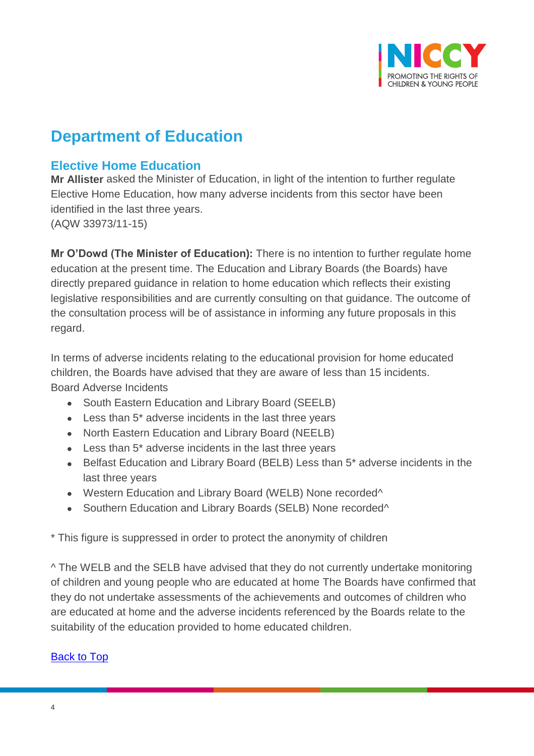

# **Department of Education**

# **Elective Home Education**

**Mr Allister** asked the Minister of Education, in light of the intention to further regulate Elective Home Education, how many adverse incidents from this sector have been identified in the last three years. (AQW 33973/11-15)

**Mr O'Dowd (The Minister of Education):** There is no intention to further regulate home education at the present time. The Education and Library Boards (the Boards) have directly prepared guidance in relation to home education which reflects their existing legislative responsibilities and are currently consulting on that guidance. The outcome of the consultation process will be of assistance in informing any future proposals in this regard.

In terms of adverse incidents relating to the educational provision for home educated children, the Boards have advised that they are aware of less than 15 incidents. Board Adverse Incidents

- South Eastern Education and Library Board (SEELB)
- Less than 5\* adverse incidents in the last three years
- North Eastern Education and Library Board (NEELB)
- Less than 5\* adverse incidents in the last three years
- Belfast Education and Library Board (BELB) Less than 5\* adverse incidents in the last three years
- Western Education and Library Board (WELB) None recorded<sup>^</sup>
- Southern Education and Library Boards (SELB) None recorded<sup>^</sup>

\* This figure is suppressed in order to protect the anonymity of children

^ The WELB and the SELB have advised that they do not currently undertake monitoring of children and young people who are educated at home The Boards have confirmed that they do not undertake assessments of the achievements and outcomes of children who are educated at home and the adverse incidents referenced by the Boards relate to the suitability of the education provided to home educated children.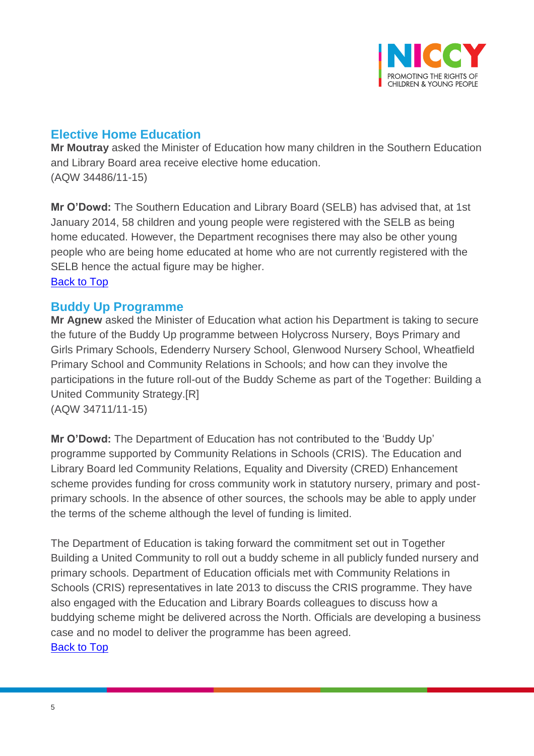

# **Elective Home Education**

**Mr Moutray** asked the Minister of Education how many children in the Southern Education and Library Board area receive elective home education. (AQW 34486/11-15)

**Mr O'Dowd:** The Southern Education and Library Board (SELB) has advised that, at 1st January 2014, 58 children and young people were registered with the SELB as being home educated. However, the Department recognises there may also be other young people who are being home educated at home who are not currently registered with the SELB hence the actual figure may be higher. [Back to Top](#page-0-14)

## **Buddy Up Programme**

**Mr Agnew** asked the Minister of Education what action his Department is taking to secure the future of the Buddy Up programme between Holycross Nursery, Boys Primary and Girls Primary Schools, Edenderry Nursery School, Glenwood Nursery School, Wheatfield Primary School and Community Relations in Schools; and how can they involve the participations in the future roll-out of the Buddy Scheme as part of the Together: Building a United Community Strategy.[R] (AQW 34711/11-15)

**Mr O'Dowd:** The Department of Education has not contributed to the 'Buddy Up' programme supported by Community Relations in Schools (CRIS). The Education and Library Board led Community Relations, Equality and Diversity (CRED) Enhancement scheme provides funding for cross community work in statutory nursery, primary and postprimary schools. In the absence of other sources, the schools may be able to apply under the terms of the scheme although the level of funding is limited.

The Department of Education is taking forward the commitment set out in Together Building a United Community to roll out a buddy scheme in all publicly funded nursery and primary schools. Department of Education officials met with Community Relations in Schools (CRIS) representatives in late 2013 to discuss the CRIS programme. They have also engaged with the Education and Library Boards colleagues to discuss how a buddying scheme might be delivered across the North. Officials are developing a business case and no model to deliver the programme has been agreed. [Back to Top](#page-0-14)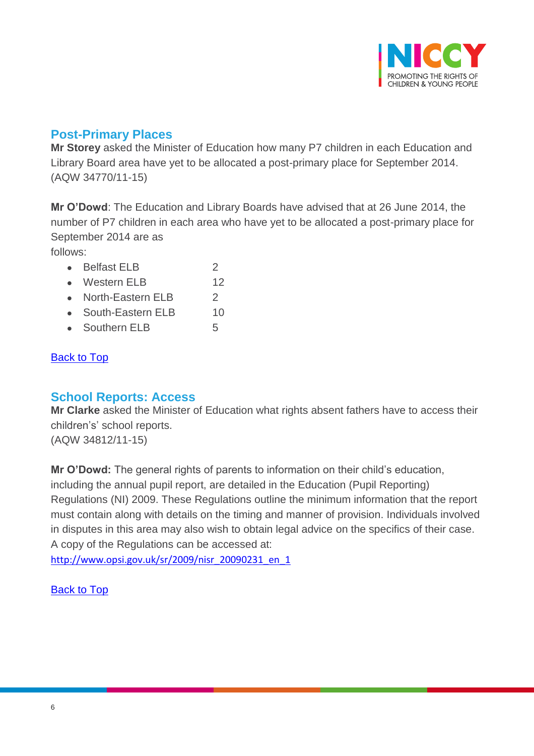

# **Post-Primary Places**

**Mr Storey** asked the Minister of Education how many P7 children in each Education and Library Board area have yet to be allocated a post-primary place for September 2014. (AQW 34770/11-15)

**Mr O'Dowd**: The Education and Library Boards have advised that at 26 June 2014, the number of P7 children in each area who have yet to be allocated a post-primary place for September 2014 are as

follows:

- Belfast ELB 2
- Western FLB 12
- North-Eastern ELB 2
- South-Eastern ELB 10
- Southern ELB 5

## [Back to](#page-0-14) Top

## **School Reports: Access**

**Mr Clarke** asked the Minister of Education what rights absent fathers have to access their children's' school reports. (AQW 34812/11-15)

**Mr O'Dowd:** The general rights of parents to information on their child's education, including the annual pupil report, are detailed in the Education (Pupil Reporting) Regulations (NI) 2009. These Regulations outline the minimum information that the report must contain along with details on the timing and manner of provision. Individuals involved in disputes in this area may also wish to obtain legal advice on the specifics of their case. A copy of the Regulations can be accessed at:

[http://www.opsi.gov.uk/sr/2009/nisr\\_20090231\\_en\\_1](http://www.opsi.gov.uk/sr/2009/nisr_20090231_en_1)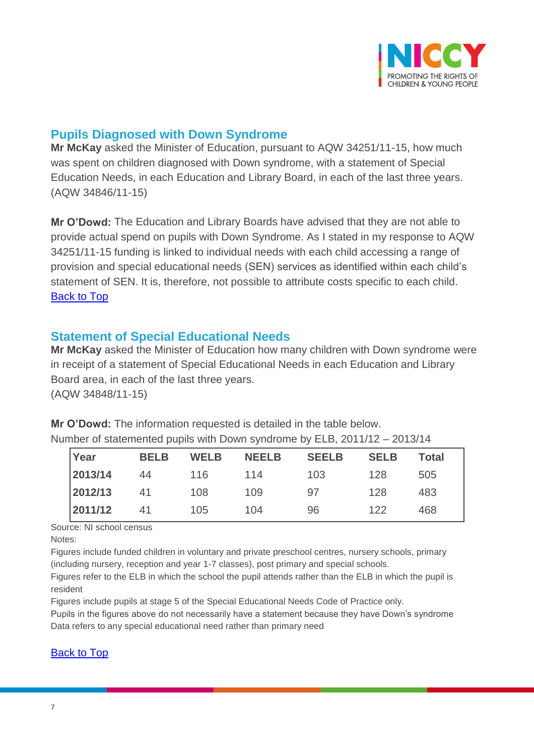

## **Pupils Diagnosed with Down Syndrome**

**Mr McKay** asked the Minister of Education, pursuant to AQW 34251/11-15, how much was spent on children diagnosed with Down syndrome, with a statement of Special Education Needs, in each Education and Library Board, in each of the last three years. (AQW 34846/11-15)

**Mr O'Dowd:** The Education and Library Boards have advised that they are not able to provide actual spend on pupils with Down Syndrome. As I stated in my response to AQW 34251/11-15 funding is linked to individual needs with each child accessing a range of provision and special educational needs (SEN) services as identified within each child's statement of SEN. It is, therefore, not possible to attribute costs specific to each child. [Back to Top](#page-0-14)

## **Statement of Special Educational Needs**

**Mr McKay** asked the Minister of Education how many children with Down syndrome were in receipt of a statement of Special Educational Needs in each Education and Library Board area, in each of the last three years. (AQW 34848/11-15)

**Mr O'Dowd:** The information requested is detailed in the table below. Number of statemented pupils with Down syndrome by ELB, 2011/12 – 2013/14

| $\vert$ Year | <b>BELB</b> | <b>WELB</b> | <b>NEELB</b> | <b>SEELB</b> | <b>SELB</b> | <b>Total</b> |
|--------------|-------------|-------------|--------------|--------------|-------------|--------------|
| 2013/14      | 44          | 116         | 114          | 103          | 128         | 505          |
| 2012/13      | 41          | 108         | 109          | 97           | 128         | 483          |
| 2011/12      | 41          | 105         | 104          | 96           | 122         | 468          |

Source: NI school census

Notes:

Figures include funded children in voluntary and private preschool centres, nursery schools, primary (including nursery, reception and year 1-7 classes), post primary and special schools.

Figures refer to the ELB in which the school the pupil attends rather than the ELB in which the pupil is resident

Figures include pupils at stage 5 of the Special Educational Needs Code of Practice only.

Pupils in the figures above do not necessarily have a statement because they have Down's syndrome Data refers to any special educational need rather than primary need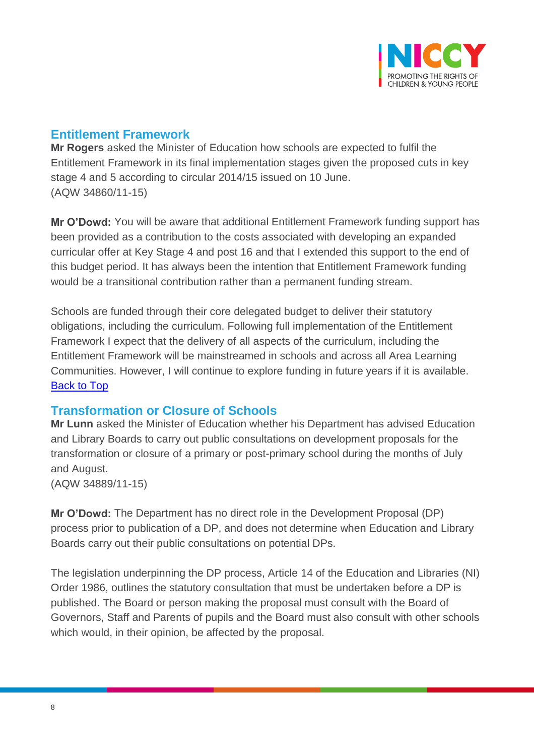

# **Entitlement Framework**

**Mr Rogers** asked the Minister of Education how schools are expected to fulfil the Entitlement Framework in its final implementation stages given the proposed cuts in key stage 4 and 5 according to circular 2014/15 issued on 10 June. (AQW 34860/11-15)

**Mr O'Dowd:** You will be aware that additional Entitlement Framework funding support has been provided as a contribution to the costs associated with developing an expanded curricular offer at Key Stage 4 and post 16 and that I extended this support to the end of this budget period. It has always been the intention that Entitlement Framework funding would be a transitional contribution rather than a permanent funding stream.

Schools are funded through their core delegated budget to deliver their statutory obligations, including the curriculum. Following full implementation of the Entitlement Framework I expect that the delivery of all aspects of the curriculum, including the Entitlement Framework will be mainstreamed in schools and across all Area Learning Communities. However, I will continue to explore funding in future years if it is available. [Back to Top](#page-0-14)

## **Transformation or Closure of Schools**

**Mr Lunn** asked the Minister of Education whether his Department has advised Education and Library Boards to carry out public consultations on development proposals for the transformation or closure of a primary or post-primary school during the months of July and August. (AQW 34889/11-15)

**Mr O'Dowd:** The Department has no direct role in the Development Proposal (DP) process prior to publication of a DP, and does not determine when Education and Library Boards carry out their public consultations on potential DPs.

The legislation underpinning the DP process, Article 14 of the Education and Libraries (NI) Order 1986, outlines the statutory consultation that must be undertaken before a DP is published. The Board or person making the proposal must consult with the Board of Governors, Staff and Parents of pupils and the Board must also consult with other schools which would, in their opinion, be affected by the proposal.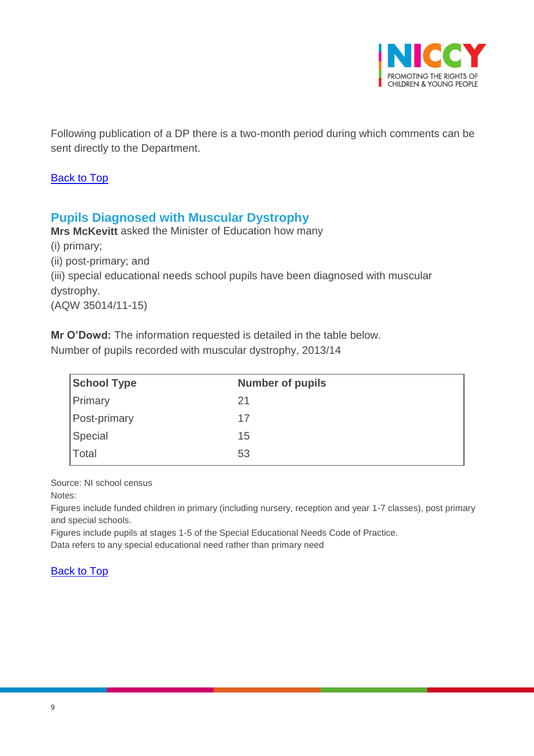

Following publication of a DP there is a two-month period during which comments can be sent directly to the Department.

#### [Back to Top](#page-0-14)

## **Pupils Diagnosed with Muscular Dystrophy**

**Mrs McKevitt** asked the Minister of Education how many (i) primary; (ii) post-primary; and (iii) special educational needs school pupils have been diagnosed with muscular dystrophy. (AQW 35014/11-15)

**Mr O'Dowd:** The information requested is detailed in the table below.

Number of pupils recorded with muscular dystrophy, 2013/14

| <b>School Type</b>  | <b>Number of pupils</b> |
|---------------------|-------------------------|
| Primary             | 21                      |
| <b>Post-primary</b> | 17                      |
| Special             | 15                      |
| Total               | 53                      |

Source: NI school census

Notes:

Figures include funded children in primary (including nursery, reception and year 1-7 classes), post primary and special schools.

Figures include pupils at stages 1-5 of the Special Educational Needs Code of Practice. Data refers to any special educational need rather than primary need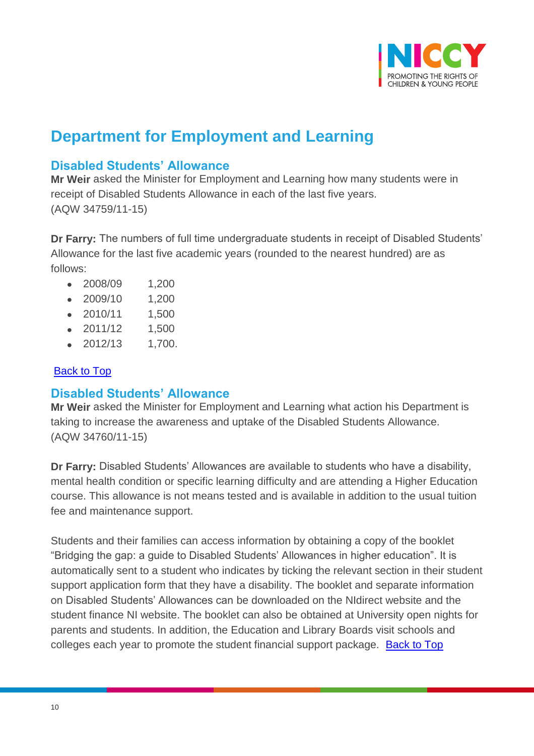

# **Department for Employment and Learning**

## **Disabled Students' Allowance**

**Mr Weir** asked the Minister for Employment and Learning how many students were in receipt of Disabled Students Allowance in each of the last five years. (AQW 34759/11-15)

**Dr Farry:** The numbers of full time undergraduate students in receipt of Disabled Students' Allowance for the last five academic years (rounded to the nearest hundred) are as follows:

- 2008/09 1,200
- 2009/10 1,200
- 2010/11 1,500
- 2011/12 1,500
- 2012/13 1,700.

## [Back to Top](#page-0-14)

## **Disabled Students' Allowance**

**Mr Weir** asked the Minister for Employment and Learning what action his Department is taking to increase the awareness and uptake of the Disabled Students Allowance. (AQW 34760/11-15)

**Dr Farry:** Disabled Students' Allowances are available to students who have a disability, mental health condition or specific learning difficulty and are attending a Higher Education course. This allowance is not means tested and is available in addition to the usual tuition fee and maintenance support.

Students and their families can access information by obtaining a copy of the booklet "Bridging the gap: a guide to Disabled Students' Allowances in higher education". It is automatically sent to a student who indicates by ticking the relevant section in their student support application form that they have a disability. The booklet and separate information on Disabled Students' Allowances can be downloaded on the NIdirect website and the student finance NI website. The booklet can also be obtained at University open nights for parents and students. In addition, the Education and Library Boards visit schools and colleges each year to promote the student financial support package. [Back to Top](#page-0-14)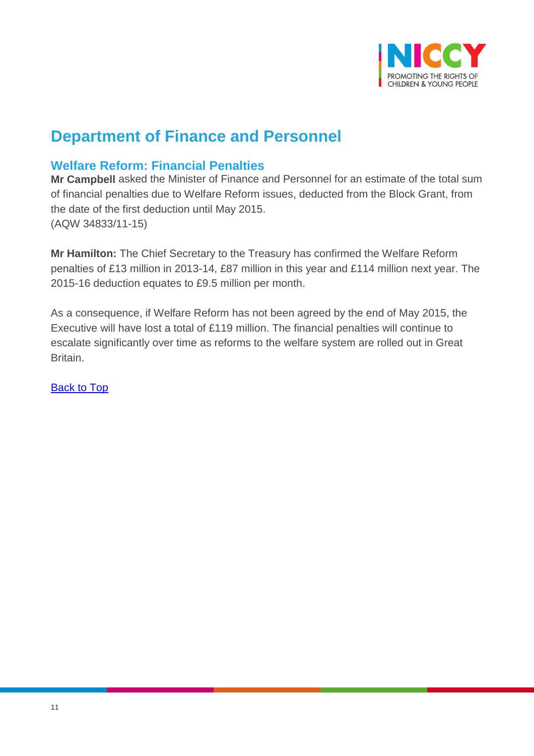

# **Department of Finance and Personnel**

# **Welfare Reform: Financial Penalties**

**Mr Campbell** asked the Minister of Finance and Personnel for an estimate of the total sum of financial penalties due to Welfare Reform issues, deducted from the Block Grant, from the date of the first deduction until May 2015. (AQW 34833/11-15)

**Mr Hamilton:** The Chief Secretary to the Treasury has confirmed the Welfare Reform penalties of £13 million in 2013-14, £87 million in this year and £114 million next year. The 2015-16 deduction equates to £9.5 million per month.

As a consequence, if Welfare Reform has not been agreed by the end of May 2015, the Executive will have lost a total of £119 million. The financial penalties will continue to escalate significantly over time as reforms to the welfare system are rolled out in Great Britain.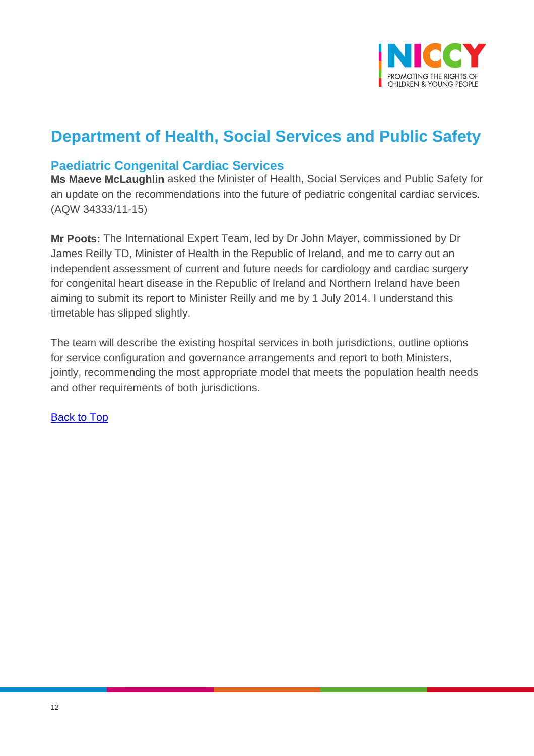

# **Department of Health, Social Services and Public Safety**

## **Paediatric Congenital Cardiac Services**

**Ms Maeve McLaughlin** asked the Minister of Health, Social Services and Public Safety for an update on the recommendations into the future of pediatric congenital cardiac services. (AQW 34333/11-15)

**Mr Poots:** The International Expert Team, led by Dr John Mayer, commissioned by Dr James Reilly TD, Minister of Health in the Republic of Ireland, and me to carry out an independent assessment of current and future needs for cardiology and cardiac surgery for congenital heart disease in the Republic of Ireland and Northern Ireland have been aiming to submit its report to Minister Reilly and me by 1 July 2014. I understand this timetable has slipped slightly.

The team will describe the existing hospital services in both jurisdictions, outline options for service configuration and governance arrangements and report to both Ministers, jointly, recommending the most appropriate model that meets the population health needs and other requirements of both jurisdictions.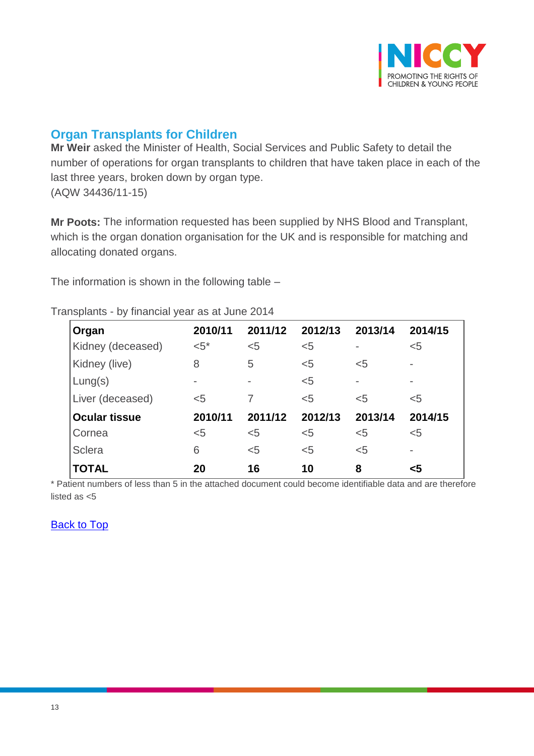

# **Organ Transplants for Children**

**Mr Weir** asked the Minister of Health, Social Services and Public Safety to detail the number of operations for organ transplants to children that have taken place in each of the last three years, broken down by organ type. (AQW 34436/11-15)

**Mr Poots:** The information requested has been supplied by NHS Blood and Transplant, which is the organ donation organisation for the UK and is responsible for matching and allocating donated organs.

The information is shown in the following table –

| Organ                | 2010/11 | 2011/12        | 2012/13 | 2013/14 | 2014/15                  |
|----------------------|---------|----------------|---------|---------|--------------------------|
| Kidney (deceased)    | $<5^*$  | $5$            | $5$     |         | $5$                      |
| Kidney (live)        | 8       | 5              | $5$     | $<$ 5   | $\overline{\phantom{a}}$ |
| Lung(s)              |         | $\overline{a}$ | < 5     |         | $\overline{\phantom{a}}$ |
| Liver (deceased)     | $5$     |                | $5$     | $5$     | $<$ 5                    |
| <b>Ocular tissue</b> | 2010/11 | 2011/12        | 2012/13 | 2013/14 | 2014/15                  |
| Cornea               | $5$     | $5$            | $5$     | $5$     | $5$                      |
| <b>Sclera</b>        | 6       | $5$            | $<$ 5   | $5$     | $\overline{\phantom{a}}$ |
| <b>TOTAL</b>         | 20      | 16             | 10      | 8       | $\leq 5$                 |

Transplants - by financial year as at June 2014

\* Patient numbers of less than 5 in the attached document could become identifiable data and are therefore listed as <5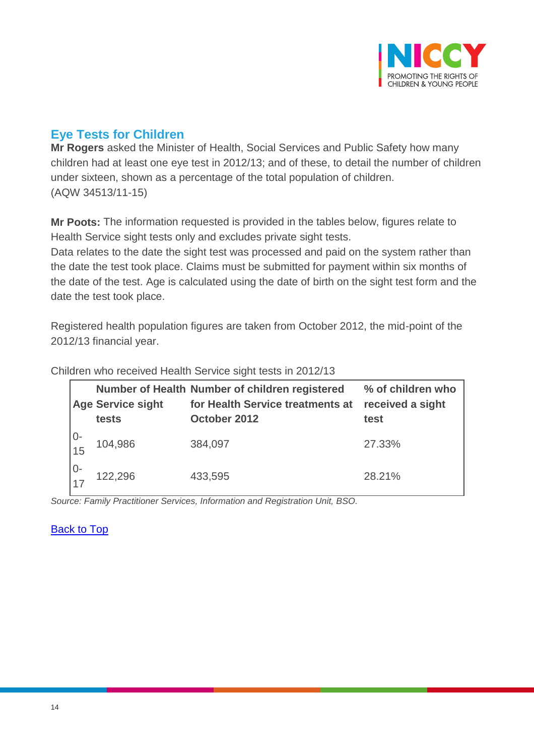

# **Eye Tests for Children**

**Mr Rogers** asked the Minister of Health, Social Services and Public Safety how many children had at least one eye test in 2012/13; and of these, to detail the number of children under sixteen, shown as a percentage of the total population of children. (AQW 34513/11-15)

**Mr Poots:** The information requested is provided in the tables below, figures relate to Health Service sight tests only and excludes private sight tests.

Data relates to the date the sight test was processed and paid on the system rather than the date the test took place. Claims must be submitted for payment within six months of the date of the test. Age is calculated using the date of birth on the sight test form and the date the test took place.

Registered health population figures are taken from October 2012, the mid-point of the 2012/13 financial year.

|                                        | <b>Age Service sight</b><br>tests | Number of Health Number of children registered<br>for Health Service treatments at<br>October 2012 | % of children who<br>received a sight<br>test |
|----------------------------------------|-----------------------------------|----------------------------------------------------------------------------------------------------|-----------------------------------------------|
| $\begin{array}{c} 0 \\ 15 \end{array}$ | 104,986                           | 384,097                                                                                            | 27.33%                                        |
| $\frac{10}{17}$                        | 122,296                           | 433,595                                                                                            | 28.21%                                        |

Children who received Health Service sight tests in 2012/13

*Source: Family Practitioner Services, Information and Registration Unit, BSO.*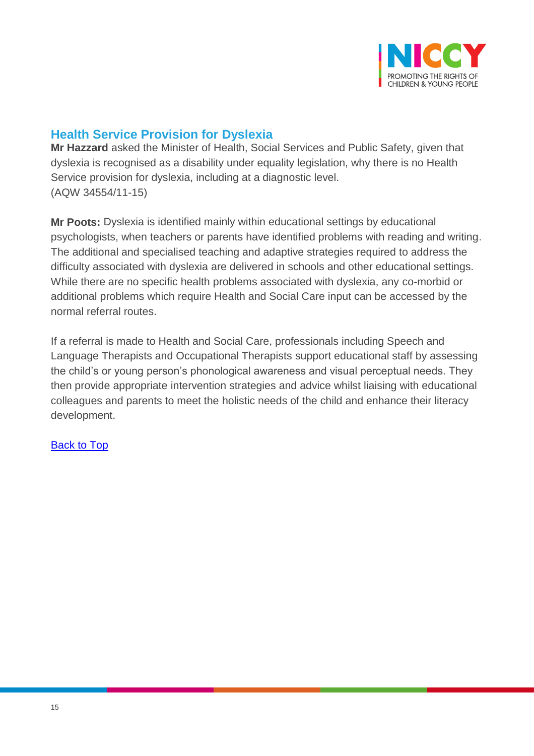

# **Health Service Provision for Dyslexia**

**Mr Hazzard** asked the Minister of Health, Social Services and Public Safety, given that dyslexia is recognised as a disability under equality legislation, why there is no Health Service provision for dyslexia, including at a diagnostic level. (AQW 34554/11-15)

**Mr Poots:** Dyslexia is identified mainly within educational settings by educational psychologists, when teachers or parents have identified problems with reading and writing. The additional and specialised teaching and adaptive strategies required to address the difficulty associated with dyslexia are delivered in schools and other educational settings. While there are no specific health problems associated with dyslexia, any co-morbid or additional problems which require Health and Social Care input can be accessed by the normal referral routes.

If a referral is made to Health and Social Care, professionals including Speech and Language Therapists and Occupational Therapists support educational staff by assessing the child's or young person's phonological awareness and visual perceptual needs. They then provide appropriate intervention strategies and advice whilst liaising with educational colleagues and parents to meet the holistic needs of the child and enhance their literacy development.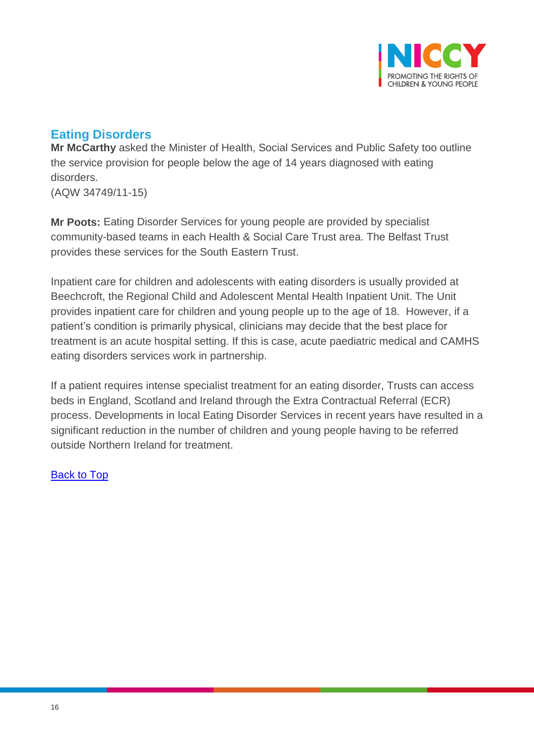

# **Eating Disorders**

**Mr McCarthy** asked the Minister of Health, Social Services and Public Safety too outline the service provision for people below the age of 14 years diagnosed with eating disorders.

(AQW 34749/11-15)

**Mr Poots:** Eating Disorder Services for young people are provided by specialist community-based teams in each Health & Social Care Trust area. The Belfast Trust provides these services for the South Eastern Trust.

Inpatient care for children and adolescents with eating disorders is usually provided at Beechcroft, the Regional Child and Adolescent Mental Health Inpatient Unit. The Unit provides inpatient care for children and young people up to the age of 18. However, if a patient's condition is primarily physical, clinicians may decide that the best place for treatment is an acute hospital setting. If this is case, acute paediatric medical and CAMHS eating disorders services work in partnership.

If a patient requires intense specialist treatment for an eating disorder, Trusts can access beds in England, Scotland and Ireland through the Extra Contractual Referral (ECR) process. Developments in local Eating Disorder Services in recent years have resulted in a significant reduction in the number of children and young people having to be referred outside Northern Ireland for treatment.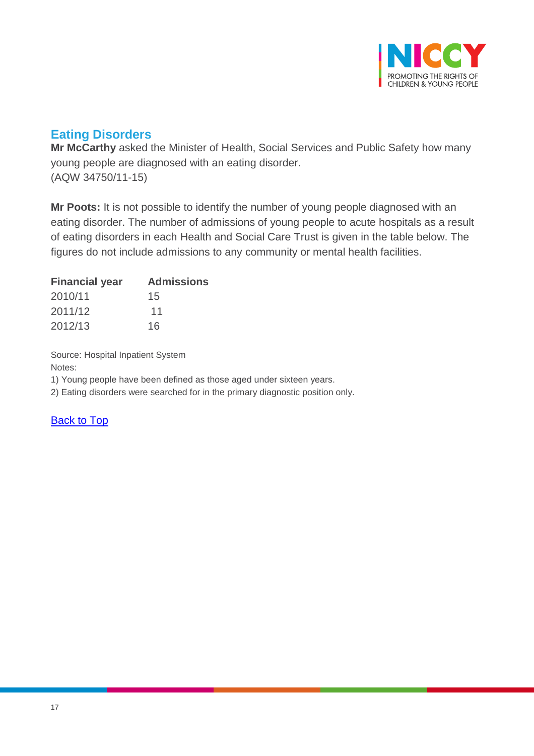

# **Eating Disorders**

**Mr McCarthy** asked the Minister of Health, Social Services and Public Safety how many young people are diagnosed with an eating disorder. (AQW 34750/11-15)

**Mr Poots:** It is not possible to identify the number of young people diagnosed with an eating disorder. The number of admissions of young people to acute hospitals as a result of eating disorders in each Health and Social Care Trust is given in the table below. The figures do not include admissions to any community or mental health facilities.

| <b>Financial year</b> | <b>Admissions</b> |
|-----------------------|-------------------|
| 2010/11               | 15                |
| 2011/12               | 11                |
| 2012/13               | 16                |

Source: Hospital Inpatient System Notes:

1) Young people have been defined as those aged under sixteen years.

2) Eating disorders were searched for in the primary diagnostic position only.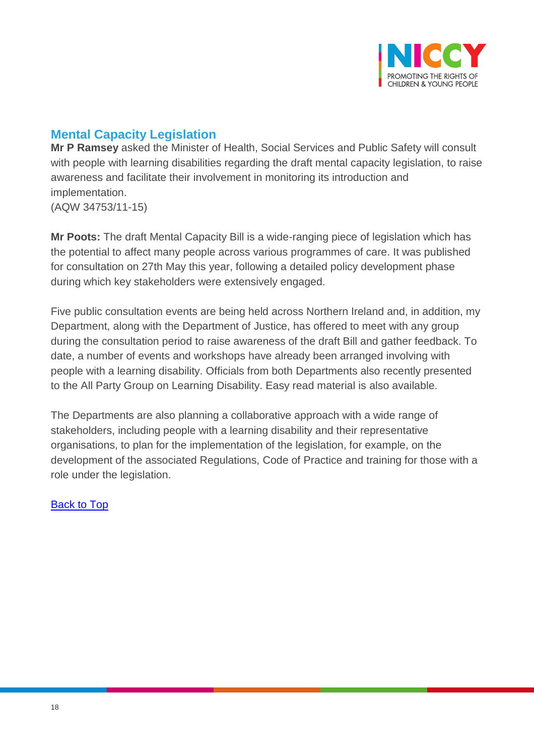

# **Mental Capacity Legislation**

**Mr P Ramsey** asked the Minister of Health, Social Services and Public Safety will consult with people with learning disabilities regarding the draft mental capacity legislation, to raise awareness and facilitate their involvement in monitoring its introduction and implementation.

(AQW 34753/11-15)

**Mr Poots:** The draft Mental Capacity Bill is a wide-ranging piece of legislation which has the potential to affect many people across various programmes of care. It was published for consultation on 27th May this year, following a detailed policy development phase during which key stakeholders were extensively engaged.

Five public consultation events are being held across Northern Ireland and, in addition, my Department, along with the Department of Justice, has offered to meet with any group during the consultation period to raise awareness of the draft Bill and gather feedback. To date, a number of events and workshops have already been arranged involving with people with a learning disability. Officials from both Departments also recently presented to the All Party Group on Learning Disability. Easy read material is also available.

The Departments are also planning a collaborative approach with a wide range of stakeholders, including people with a learning disability and their representative organisations, to plan for the implementation of the legislation, for example, on the development of the associated Regulations, Code of Practice and training for those with a role under the legislation.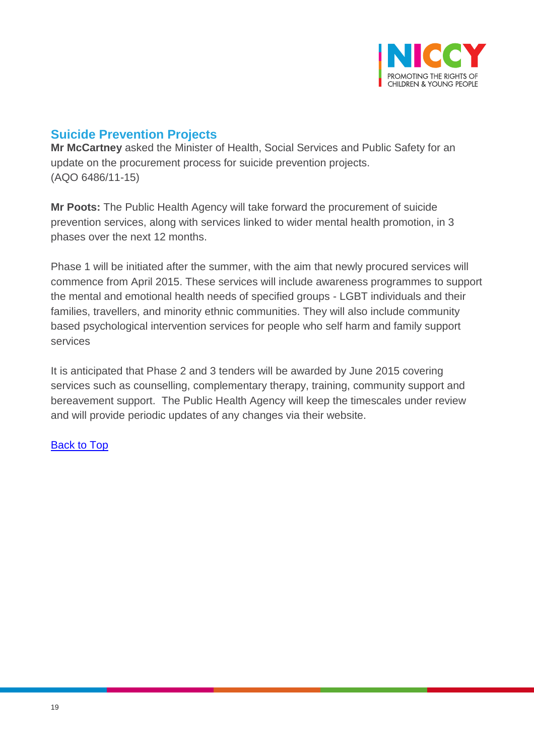

# **Suicide Prevention Projects**

**Mr McCartney** asked the Minister of Health, Social Services and Public Safety for an update on the procurement process for suicide prevention projects. (AQO 6486/11-15)

**Mr Poots:** The Public Health Agency will take forward the procurement of suicide prevention services, along with services linked to wider mental health promotion, in 3 phases over the next 12 months.

Phase 1 will be initiated after the summer, with the aim that newly procured services will commence from April 2015. These services will include awareness programmes to support the mental and emotional health needs of specified groups - LGBT individuals and their families, travellers, and minority ethnic communities. They will also include community based psychological intervention services for people who self harm and family support services

It is anticipated that Phase 2 and 3 tenders will be awarded by June 2015 covering services such as counselling, complementary therapy, training, community support and bereavement support. The Public Health Agency will keep the timescales under review and will provide periodic updates of any changes via their website.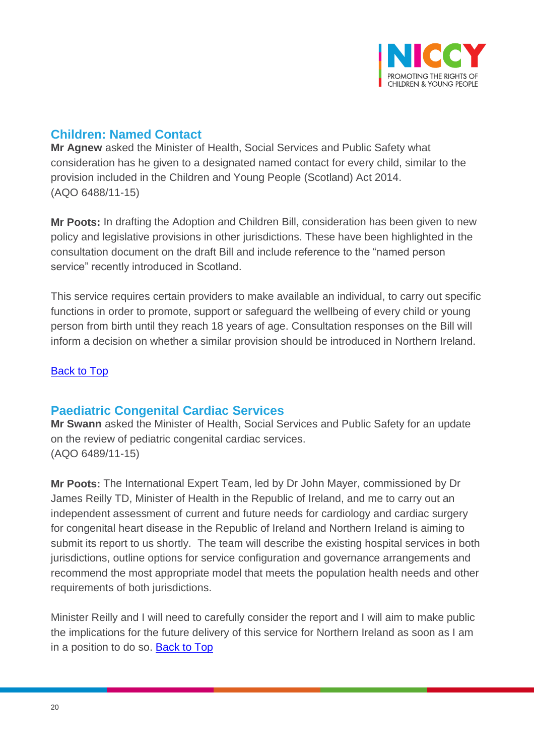

# **Children: Named Contact**

**Mr Agnew** asked the Minister of Health, Social Services and Public Safety what consideration has he given to a designated named contact for every child, similar to the provision included in the Children and Young People (Scotland) Act 2014. (AQO 6488/11-15)

**Mr Poots:** In drafting the Adoption and Children Bill, consideration has been given to new policy and legislative provisions in other jurisdictions. These have been highlighted in the consultation document on the draft Bill and include reference to the "named person service" recently introduced in Scotland.

This service requires certain providers to make available an individual, to carry out specific functions in order to promote, support or safeguard the wellbeing of every child or young person from birth until they reach 18 years of age. Consultation responses on the Bill will inform a decision on whether a similar provision should be introduced in Northern Ireland.

## [Back to Top](#page-0-14)

## **Paediatric Congenital Cardiac Services**

**Mr Swann** asked the Minister of Health, Social Services and Public Safety for an update on the review of pediatric congenital cardiac services. (AQO 6489/11-15)

**Mr Poots:** The International Expert Team, led by Dr John Mayer, commissioned by Dr James Reilly TD, Minister of Health in the Republic of Ireland, and me to carry out an independent assessment of current and future needs for cardiology and cardiac surgery for congenital heart disease in the Republic of Ireland and Northern Ireland is aiming to submit its report to us shortly. The team will describe the existing hospital services in both jurisdictions, outline options for service configuration and governance arrangements and recommend the most appropriate model that meets the population health needs and other requirements of both jurisdictions.

Minister Reilly and I will need to carefully consider the report and I will aim to make public the implications for the future delivery of this service for Northern Ireland as soon as I am in a position to do so. [Back to Top](#page-0-14)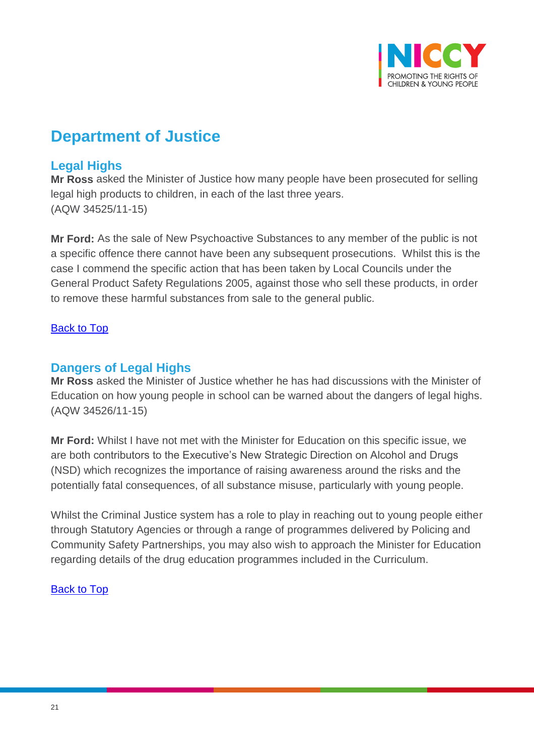

# **Department of Justice**

## **Legal Highs**

**Mr Ross** asked the Minister of Justice how many people have been prosecuted for selling legal high products to children, in each of the last three years. (AQW 34525/11-15)

**Mr Ford:** As the sale of New Psychoactive Substances to any member of the public is not a specific offence there cannot have been any subsequent prosecutions. Whilst this is the case I commend the specific action that has been taken by Local Councils under the General Product Safety Regulations 2005, against those who sell these products, in order to remove these harmful substances from sale to the general public.

## **[Back to Top](#page-0-14)**

## **Dangers of Legal Highs**

**Mr Ross** asked the Minister of Justice whether he has had discussions with the Minister of Education on how young people in school can be warned about the dangers of legal highs. (AQW 34526/11-15)

**Mr Ford:** Whilst I have not met with the Minister for Education on this specific issue, we are both contributors to the Executive's New Strategic Direction on Alcohol and Drugs (NSD) which recognizes the importance of raising awareness around the risks and the potentially fatal consequences, of all substance misuse, particularly with young people.

Whilst the Criminal Justice system has a role to play in reaching out to young people either through Statutory Agencies or through a range of programmes delivered by Policing and Community Safety Partnerships, you may also wish to approach the Minister for Education regarding details of the drug education programmes included in the Curriculum.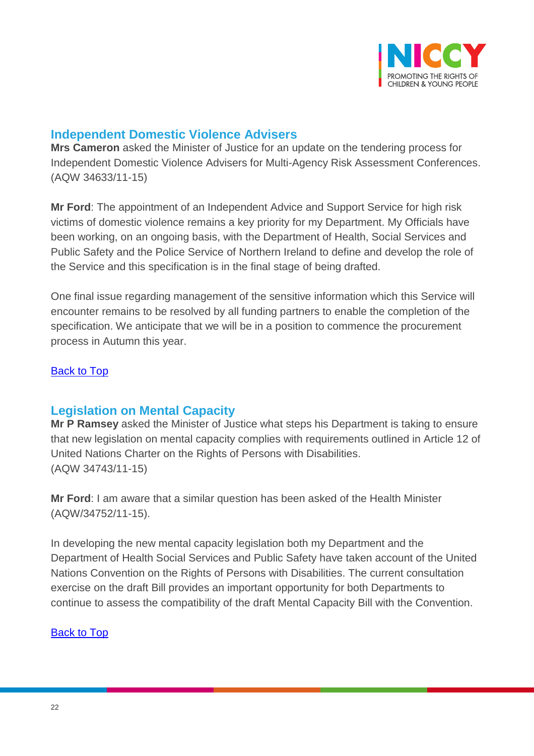

## **Independent Domestic Violence Advisers**

**Mrs Cameron** asked the Minister of Justice for an update on the tendering process for Independent Domestic Violence Advisers for Multi-Agency Risk Assessment Conferences. (AQW 34633/11-15)

**Mr Ford**: The appointment of an Independent Advice and Support Service for high risk victims of domestic violence remains a key priority for my Department. My Officials have been working, on an ongoing basis, with the Department of Health, Social Services and Public Safety and the Police Service of Northern Ireland to define and develop the role of the Service and this specification is in the final stage of being drafted.

One final issue regarding management of the sensitive information which this Service will encounter remains to be resolved by all funding partners to enable the completion of the specification. We anticipate that we will be in a position to commence the procurement process in Autumn this year.

#### [Back to Top](#page-0-14)

## **Legislation on Mental Capacity**

**Mr P Ramsey** asked the Minister of Justice what steps his Department is taking to ensure that new legislation on mental capacity complies with requirements outlined in Article 12 of United Nations Charter on the Rights of Persons with Disabilities. (AQW 34743/11-15)

**Mr Ford**: I am aware that a similar question has been asked of the Health Minister (AQW/34752/11-15).

In developing the new mental capacity legislation both my Department and the Department of Health Social Services and Public Safety have taken account of the United Nations Convention on the Rights of Persons with Disabilities. The current consultation exercise on the draft Bill provides an important opportunity for both Departments to continue to assess the compatibility of the draft Mental Capacity Bill with the Convention.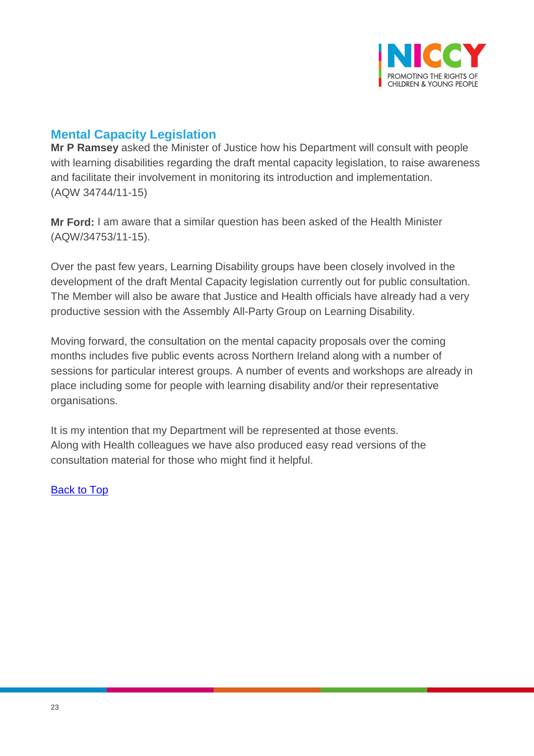

# **Mental Capacity Legislation**

**Mr P Ramsey** asked the Minister of Justice how his Department will consult with people with learning disabilities regarding the draft mental capacity legislation, to raise awareness and facilitate their involvement in monitoring its introduction and implementation. (AQW 34744/11-15)

**Mr Ford:** I am aware that a similar question has been asked of the Health Minister (AQW/34753/11-15).

Over the past few years, Learning Disability groups have been closely involved in the development of the draft Mental Capacity legislation currently out for public consultation. The Member will also be aware that Justice and Health officials have already had a very productive session with the Assembly All-Party Group on Learning Disability.

Moving forward, the consultation on the mental capacity proposals over the coming months includes five public events across Northern Ireland along with a number of sessions for particular interest groups. A number of events and workshops are already in place including some for people with learning disability and/or their representative organisations.

It is my intention that my Department will be represented at those events. Along with Health colleagues we have also produced easy read versions of the consultation material for those who might find it helpful.